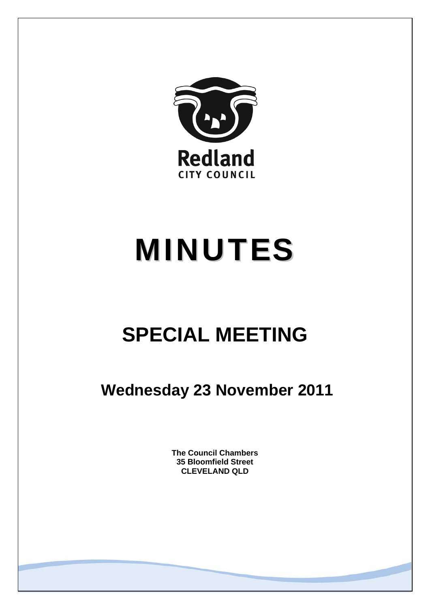

# MINUTES

## **SPECIAL MEETING**

 **Wednesday 23 November 2011** 

**The Council Chambers 35 Bloomfield Street CLEVELAND QLD**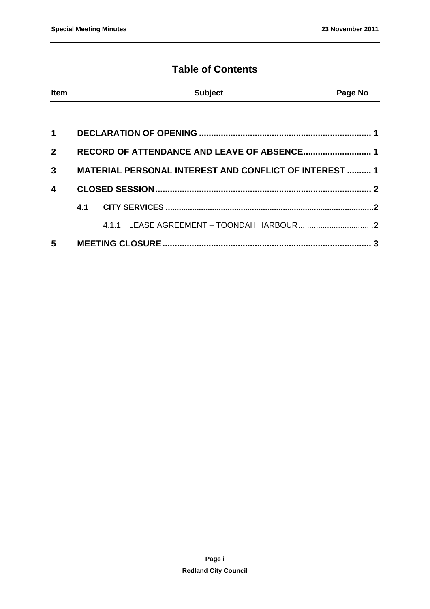### **Table of Contents**

| <b>Item</b>             |     | <b>Subject</b>                                                | Page No |
|-------------------------|-----|---------------------------------------------------------------|---------|
|                         |     |                                                               |         |
| 1                       |     |                                                               |         |
| $\mathbf{2}$            |     |                                                               |         |
| 3                       |     | <b>MATERIAL PERSONAL INTEREST AND CONFLICT OF INTEREST  1</b> |         |
| $\overline{\mathbf{4}}$ |     |                                                               |         |
|                         | 4.1 |                                                               |         |
|                         |     |                                                               |         |
| 5                       |     |                                                               |         |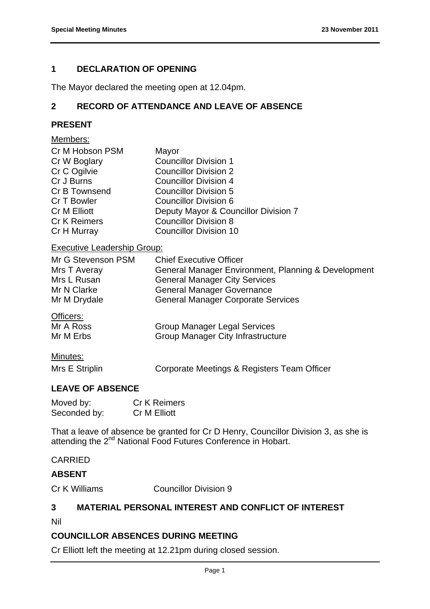#### **1 DECLARATION OF OPENING**

The Mayor declared the meeting open at 12.04pm.

#### **2 RECORD OF ATTENDANCE AND LEAVE OF ABSENCE**

#### **PRESENT**

#### Members:

| Cr M Hobson PSM<br>Cr W Boglary<br>Cr C Ogilvie<br>Cr J Burns<br>Cr B Townsend<br>Cr T Bowler<br><b>Cr M Elliott</b><br><b>Cr K Reimers</b> | Mayor<br><b>Councillor Division 1</b><br><b>Councillor Division 2</b><br><b>Councillor Division 4</b><br><b>Councillor Division 5</b><br><b>Councillor Division 6</b><br>Deputy Mayor & Councillor Division 7<br><b>Councillor Division 8</b> |
|---------------------------------------------------------------------------------------------------------------------------------------------|-----------------------------------------------------------------------------------------------------------------------------------------------------------------------------------------------------------------------------------------------|
| Cr H Murray                                                                                                                                 | <b>Councillor Division 10</b>                                                                                                                                                                                                                 |
|                                                                                                                                             |                                                                                                                                                                                                                                               |

#### Executive Leadership Group:

| Mr G Stevenson PSM                 | <b>Chief Executive Officer</b>                      |
|------------------------------------|-----------------------------------------------------|
| Mrs T Averay                       | General Manager Environment, Planning & Development |
| Mrs L Rusan                        | <b>General Manager City Services</b>                |
| Mr N Clarke                        | <b>General Manager Governance</b>                   |
| Mr M Drydale                       | <b>General Manager Corporate Services</b>           |
| Officers:                          |                                                     |
| $M_{r}$ $\Lambda$ D <sub>222</sub> | Croup Monggar Logal Capicac                         |

Mr A Ross Group Manager Legal Services Mr M Erbs **Group Manager City Infrastructure** 

#### Minutes:

Mrs E Striplin Corporate Meetings & Registers Team Officer

#### **LEAVE OF ABSENCE**

| Moved by:    | <b>Cr K Reimers</b> |
|--------------|---------------------|
| Seconded by: | Cr M Elliott        |

That a leave of absence be granted for Cr D Henry, Councillor Division 3, as she is attending the 2<sup>nd</sup> National Food Futures Conference in Hobart.

#### CARRIED

#### **ABSENT**

Cr K Williams Councillor Division 9

#### **3 MATERIAL PERSONAL INTEREST AND CONFLICT OF INTEREST**

Nil

#### **COUNCILLOR ABSENCES DURING MEETING**

Cr Elliott left the meeting at 12.21pm during closed session.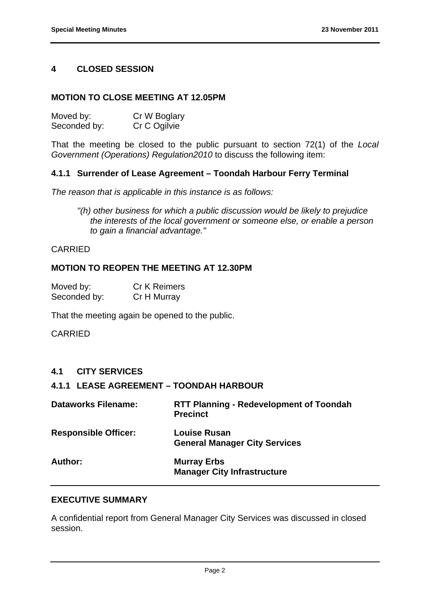#### **4 CLOSED SESSION**

#### **MOTION TO CLOSE MEETING AT 12.05PM**

| Moved by:    | Cr W Boglary |
|--------------|--------------|
| Seconded by: | Cr C Ogilvie |

That the meeting be closed to the public pursuant to section 72(1) of the *Local Government (Operations) Regulation2010* to discuss the following item:

#### **4.1.1 Surrender of Lease Agreement – Toondah Harbour Ferry Terminal**

*The reason that is applicable in this instance is as follows:* 

*"(h) other business for which a public discussion would be likely to prejudice the interests of the local government or someone else, or enable a person to gain a financial advantage."* 

#### CARRIED

#### **MOTION TO REOPEN THE MEETING AT 12.30PM**

| Moved by:    | <b>Cr K Reimers</b> |
|--------------|---------------------|
| Seconded by: | Cr H Murray         |

That the meeting again be opened to the public.

CARRIED

#### **4.1 CITY SERVICES**

#### **4.1.1 LEASE AGREEMENT – TOONDAH HARBOUR**

| <b>Dataworks Filename:</b>  | <b>RTT Planning - Redevelopment of Toondah</b><br><b>Precinct</b> |
|-----------------------------|-------------------------------------------------------------------|
| <b>Responsible Officer:</b> | <b>Louise Rusan</b><br><b>General Manager City Services</b>       |
| Author:                     | <b>Murray Erbs</b><br><b>Manager City Infrastructure</b>          |

#### **EXECUTIVE SUMMARY**

A confidential report from General Manager City Services was discussed in closed session.